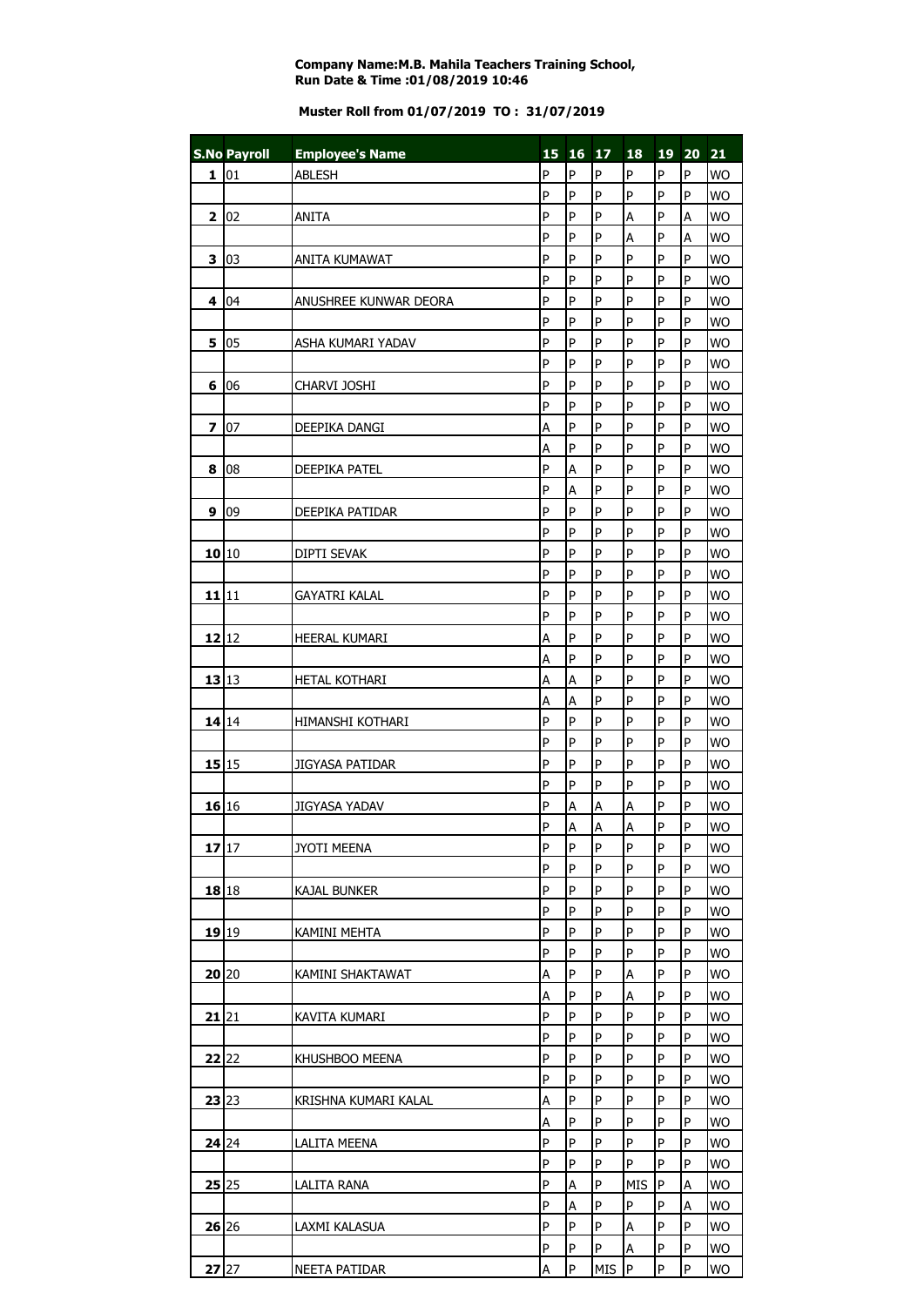## **Company Name:M.B. Mahila Teachers Training School, Run Date & Time :01/08/2019 10:46**

## **Muster Roll from 01/07/2019 TO : 31/07/2019**

|              | <b>S.No Payroll</b> |                        |   | 15 16 17       |                         | 18             |                | 19 20 21       |           |
|--------------|---------------------|------------------------|---|----------------|-------------------------|----------------|----------------|----------------|-----------|
|              |                     | <b>Employee's Name</b> |   |                |                         |                |                |                |           |
| 1            | 01                  | <b>ABLESH</b>          | P | P              | P                       | P              | P              | P              | <b>WO</b> |
|              |                     |                        | P | P              | P                       | $\overline{P}$ | P              | P              | <b>WO</b> |
| $\mathbf{2}$ | 02                  | <b>ANITA</b>           | P | P              | P                       | A              | $\mathsf{P}$   | A              | <b>WO</b> |
|              |                     |                        | P | P              | P                       | A              | P              | A              | <b>WO</b> |
| 3            | $ 03\rangle$        | <b>ANITA KUMAWAT</b>   | P | P              | P                       | $\overline{P}$ | P              | P              | <b>WO</b> |
|              |                     |                        | P | P              | P                       | $\overline{P}$ | $\overline{P}$ | P              | <b>WO</b> |
| 4            | 04                  | ANUSHREE KUNWAR DEORA  | P | P              | P                       | P              | $\overline{P}$ | P              | <b>WO</b> |
|              |                     |                        | P | P              | P                       | P              | P              | P              | <b>WO</b> |
| 5            | 05                  | ASHA KUMARI YADAV      | P | P              | P                       | P              | P              | P              | <b>WO</b> |
|              |                     |                        | P | P              | P                       | P              | P              | P              | <b>WO</b> |
| 6            | 06                  | CHARVI JOSHI           | P | P              | P                       | P              | P              | $\overline{P}$ | <b>WO</b> |
|              |                     |                        | P | P              | P                       | P              | $\overline{P}$ | P              | <b>WO</b> |
|              |                     |                        |   |                |                         |                |                |                |           |
| 7            | 07                  | DEEPIKA DANGI          | A | P              | P                       | $\mathsf{P}$   | P              | P              | <b>WO</b> |
|              |                     |                        | Α | P              | P                       | P              | P              | P              | <b>WO</b> |
| 8            | 08                  | <b>DEEPIKA PATEL</b>   | P | A              | P                       | P              | P              | P              | <b>WO</b> |
|              |                     |                        | P | A              | P                       | P              | P              | P              | <b>WO</b> |
| 9            | 09                  | DEEPIKA PATIDAR        | P | P              | P                       | P              | P              | P              | <b>WO</b> |
|              |                     |                        | P | P              | P                       | P              | P              | P              | <b>WO</b> |
|              | 10 10               | DIPTI SEVAK            | P | P              | P                       | P              | P              | P              | <b>WO</b> |
|              |                     |                        | P | P              | P                       | P              | P              | P              | <b>WO</b> |
| 11 11        |                     | <b>GAYATRI KALAL</b>   | P | P              | P                       | P              | P              | P              | <b>WO</b> |
|              |                     |                        | P | P              | P                       | P              | P              | P              | <b>WO</b> |
|              | 12 12               |                        | Α | P              | P                       | P              | P              | P              | <b>WO</b> |
|              |                     | <b>HEERAL KUMARI</b>   |   | P              | P                       | $\overline{P}$ | P              | P              |           |
|              |                     |                        | A |                |                         |                |                |                | <b>WO</b> |
|              | 13 13               | HETAL KOTHARI          | A | A              | P                       | $\overline{P}$ | P              | $\overline{P}$ | <b>WO</b> |
|              |                     |                        | Α | A              | P                       | P              | $\overline{P}$ | $\overline{P}$ | <b>WO</b> |
|              | 14 14               | HIMANSHI KOTHARI       | P | P              | P                       | P              | P              | P              | <b>WO</b> |
|              |                     |                        | P | P              | P                       | $\overline{P}$ | P              | P              | <b>WO</b> |
|              | 15 15               | <b>JIGYASA PATIDAR</b> | P | P              | P                       | $\overline{P}$ | P              | P              | <b>WO</b> |
|              |                     |                        | P | P              | P                       | P              | P              | P              | <b>WO</b> |
|              | 16 16               | <b>JIGYASA YADAV</b>   | P | А              | А                       | A              | P              | P              | <b>WO</b> |
|              |                     |                        | P | $\overline{A}$ | $\overline{\mathsf{A}}$ | A              | $\overline{P}$ | $\overline{P}$ | <b>WO</b> |
|              | 17 17               | JYOTI MEENA            | P | P              | P                       | P              | P              | P              | <b>WO</b> |
|              |                     |                        | P | P              | P                       | P              | P              | P              | <b>WO</b> |
|              | 18 18               | <b>KAJAL BUNKER</b>    | P | P              | P                       | P              | P              | P              | <b>WO</b> |
|              |                     |                        | P | P              | P                       | P              | ${\sf P}$      | P              |           |
|              |                     |                        |   |                |                         |                |                |                | <b>WO</b> |
| 19 19        |                     | KAMINI MEHTA           | P | P              | P                       | P              | P              | P              | <b>WO</b> |
|              |                     |                        | P | P              | P                       | P              | P              | P              | <b>WO</b> |
|              | 20 20               | KAMINI SHAKTAWAT       | A | P              | P                       | A              | $\overline{P}$ | P              | <b>WO</b> |
|              |                     |                        | A | P              | P                       | A              | P              | P              | <b>WO</b> |
|              | 21 21               | KAVITA KUMARI          | P | P              | P                       | P              | P              | P              | <b>WO</b> |
|              |                     |                        | P | P              | P                       | P              | P              | P              | <b>WO</b> |
|              | 22 22               | KHUSHBOO MEENA         | P | P              | P                       | P              | P              | P              | <b>WO</b> |
|              |                     |                        | P | P              | P                       | P              | P              | P              | <b>WO</b> |
|              | 23 23               | KRISHNA KUMARI KALAL   | A | P              | P                       | P              | $\overline{P}$ | P              | <b>WO</b> |
|              |                     |                        | A | P              | P                       | P              | P              | P              | <b>WO</b> |
|              | 24 24               | LALITA MEENA           | P | P              | P                       | $\overline{P}$ | $\overline{P}$ | P              | <b>WO</b> |
|              |                     |                        | P | P              | P                       | $\mathsf{P}$   | P              | P              |           |
|              |                     |                        |   |                |                         |                |                |                | <b>WO</b> |
|              | 25 25               | <b>LALITA RANA</b>     | P | A              | P                       | <b>MIS</b>     | $\mathsf{P}$   | A              | <b>WO</b> |
|              |                     |                        | P | A              | $\mathsf{P}$            | P              | P              | A              | <b>WO</b> |
|              | 26 26               | laxmi kalasua          | P | P              | P                       | A              | P              | P              | <b>WO</b> |
|              |                     |                        | P | P              | P                       | A              | $\sf P$        | P              | <b>WO</b> |
| $27$ 27      |                     | NEETA PATIDAR          | A | P              | MIS                     | P              | P              | P              | <b>WO</b> |